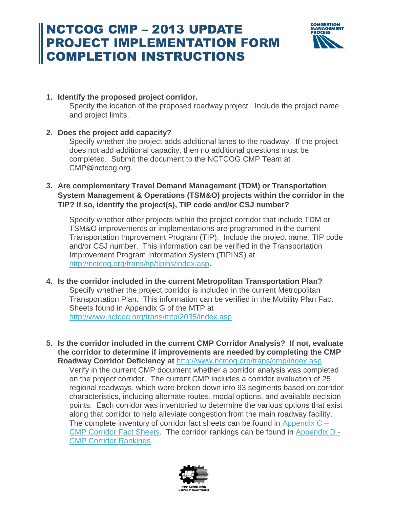## NCTCOG CMP – 2013 UPDATE PROJECT IMPLEMENTATION FORM COMPLETION INSTRUCTIONS



#### **1. Identify the proposed project corridor.**

Specify the location of the proposed roadway project. Include the project name and project limits.

### **2. Does the project add capacity?**

Specify whether the project adds additional lanes to the roadway. If the project does not add additional capacity, then no additional questions must be completed. Submit the document to the NCTCOG CMP Team at CMP@nctcog.org.

### **3. Are complementary Travel Demand Management (TDM) or Transportation System Management & Operations (TSM&O) projects within the corridor in the TIP? If so, identify the project(s), TIP code and/or CSJ number?**

Specify whether other projects within the project corridor that include TDM or TSM&O improvements or implementations are programmed in the current Transportation Improvement Program (TIP). Include the project name, TIP code and/or CSJ number. This information can be verified in the Transportation Improvement Program Information System (TIPINS) at [http://nctcog.org/trans/tip/tipins/index.asp.](http://nctcog.org/trans/tip/tipins/index.asp)

- **4. Is the corridor included in the current Metropolitan Transportation Plan?**  Specify whether the project corridor is included in the current Metropolitan Transportation Plan. This information can be verified in the Mobility Plan Fact Sheets found in Appendix G of the MTP at <http://www.nctcog.org/trans/mtp/2035/index.asp>
- **5. Is the corridor included in the current CMP Corridor Analysis? If not, evaluate the corridor to determine if improvements are needed by completing the CMP Roadway Corridor Deficiency at** [http://www.nctcog.org/trans/cmp/index.asp.](http://www.nctcog.org/trans/cmp/index.asp)

Verify in the current CMP document whether a corridor analysis was completed on the project corridor. The current CMP includes a corridor evaluation of 25 regional roadways, which were broken down into 93 segments based on corridor characteristics, including alternate routes, modal options, and available decision points. Each corridor was inventoried to determine the various options that exist along that corridor to help alleviate congestion from the main roadway facility. The complete inventory of corridor fact sheets can be found in Appendix  $C -$ [CMP Corridor Fact Sheets.](http://www.nctcog.org/trans/cmp/FactSheets.pdf) The corridor rankings can be found in [Appendix D -](http://www.nctcog.org/trans/cmp/documents/APP_D_Corridor_Rankings.pdf) [CMP Corridor Rankings](http://www.nctcog.org/trans/cmp/documents/APP_D_Corridor_Rankings.pdf)